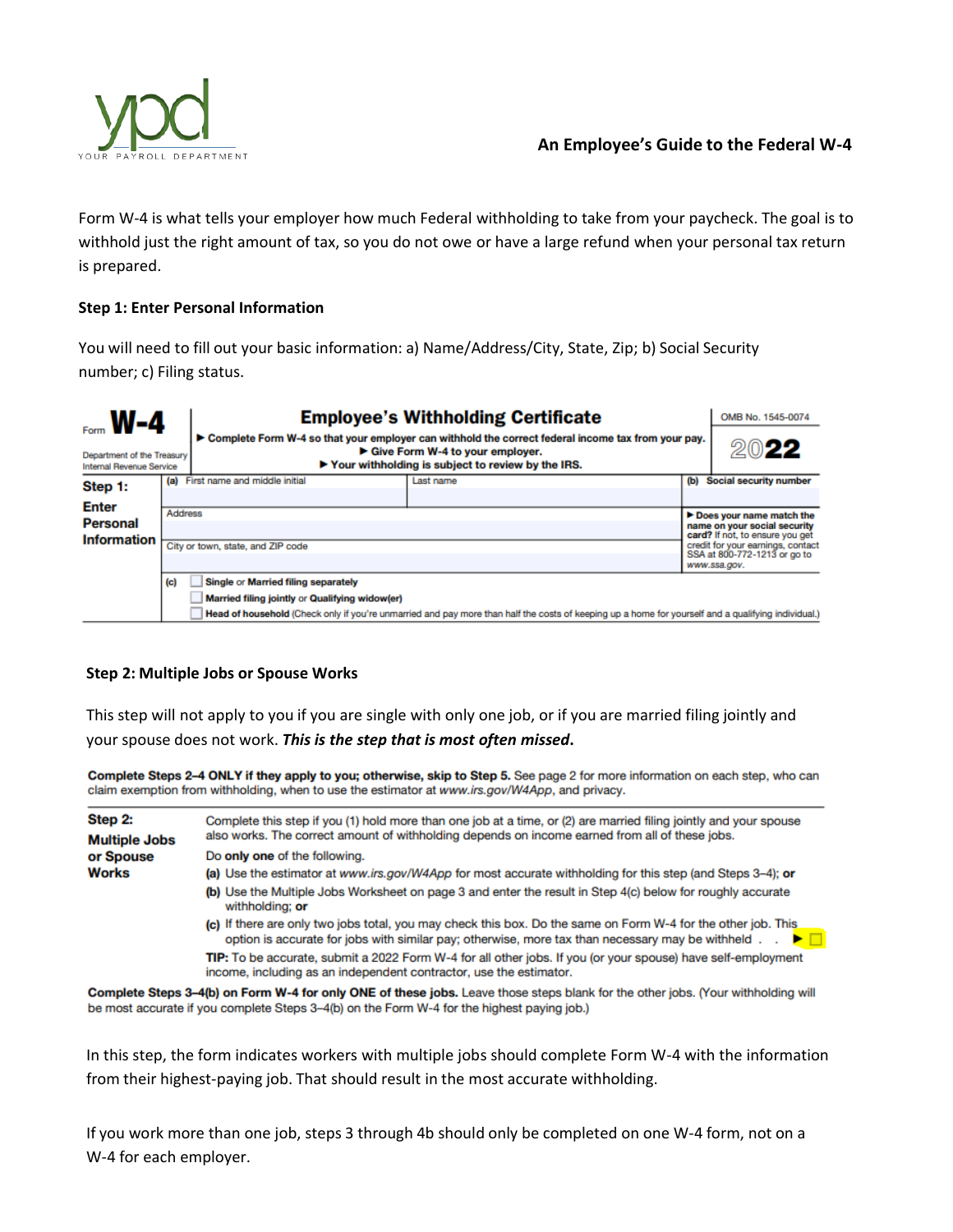

Form W-4 is what tells your employer how much Federal withholding to take from your paycheck. The goal is to withhold just the right amount of tax, so you do not owe or have a large refund when your personal tax return is prepared.

# **Step 1: Enter Personal Information**

You will need to fill out your basic information: a) Name/Address/City, State, Zip; b) Social Security number; c) Filing status.

| $F_{\text{form}}$ W-4<br>Department of the Treasury<br>Internal Revenue Service |                | <b>Employee's Withholding Certificate</b><br>► Complete Form W-4 so that your employer can withhold the correct federal income tax from your pay.<br>Give Form W-4 to your employer.<br>▶ Your withholding is subject to review by the IRS. | OMB No. 1545-0074<br>2022                                                                                                                          |     |                                                                      |
|---------------------------------------------------------------------------------|----------------|---------------------------------------------------------------------------------------------------------------------------------------------------------------------------------------------------------------------------------------------|----------------------------------------------------------------------------------------------------------------------------------------------------|-----|----------------------------------------------------------------------|
| Step 1:                                                                         |                | (a) First name and middle initial                                                                                                                                                                                                           | Last name                                                                                                                                          | (b) | <b>Social security number</b>                                        |
| <b>Enter</b>                                                                    |                |                                                                                                                                                                                                                                             |                                                                                                                                                    |     |                                                                      |
|                                                                                 | <b>Address</b> |                                                                                                                                                                                                                                             |                                                                                                                                                    |     | Does your name match the                                             |
| <b>Personal</b>                                                                 |                |                                                                                                                                                                                                                                             |                                                                                                                                                    |     | name on your social security                                         |
| <b>Information</b>                                                              |                | City or town, state, and ZIP code                                                                                                                                                                                                           |                                                                                                                                                    |     | card? If not, to ensure you get<br>credit for your earnings, contact |
|                                                                                 |                |                                                                                                                                                                                                                                             |                                                                                                                                                    |     | SSA at 800-772-1213 or go to                                         |
|                                                                                 |                |                                                                                                                                                                                                                                             |                                                                                                                                                    |     | www.ssa.gov.                                                         |
|                                                                                 | (c)            | Single or Married filing separately                                                                                                                                                                                                         |                                                                                                                                                    |     |                                                                      |
|                                                                                 |                | Married filing jointly or Qualifying widow(er)                                                                                                                                                                                              |                                                                                                                                                    |     |                                                                      |
|                                                                                 |                |                                                                                                                                                                                                                                             | Head of household (Check only if you're unmarried and pay more than half the costs of keeping up a home for yourself and a qualifying individual.) |     |                                                                      |

# **Step 2: Multiple Jobs or Spouse Works**

This step will not apply to you if you are single with only one job, or if you are married filing jointly and your spouse does not work. *This is the step that is most often missed***.**

Complete Steps 2-4 ONLY if they apply to you; otherwise, skip to Step 5. See page 2 for more information on each step, who can claim exemption from withholding, when to use the estimator at www.irs.gov/W4App, and privacy.

| Step 2:<br><b>Multiple Jobs</b> | Complete this step if you (1) hold more than one job at a time, or (2) are married filing jointly and your spouse<br>also works. The correct amount of withholding depends on income earned from all of these jobs. |
|---------------------------------|---------------------------------------------------------------------------------------------------------------------------------------------------------------------------------------------------------------------|
| or Spouse                       | Do only one of the following.                                                                                                                                                                                       |
| <b>Works</b>                    | (a) Use the estimator at www.irs.gov/W4App for most accurate withholding for this step (and Steps 3-4); or                                                                                                          |
|                                 | (b) Use the Multiple Jobs Worksheet on page 3 and enter the result in Step 4(c) below for roughly accurate<br>withholding: or                                                                                       |
|                                 | (c) If there are only two jobs total, you may check this box. Do the same on Form W-4 for the other job. This<br>option is accurate for jobs with similar pay; otherwise, more tax than necessary may be withheld   |
|                                 | TIP: To be accurate, submit a 2022 Form W-4 for all other jobs. If you (or your spouse) have self-employment<br>income, including as an independent contractor, use the estimator.                                  |
|                                 |                                                                                                                                                                                                                     |

Complete Steps 3-4(b) on Form W-4 for only ONE of these jobs. Leave those steps blank for the other jobs. (Your withholding will be most accurate if you complete Steps 3-4(b) on the Form W-4 for the highest paying job.)

In this step, the form indicates workers with multiple jobs should complete Form W-4 with the information from their highest-paying job. That should result in the most accurate withholding.

If you work more than one job, steps 3 through 4b should only be completed on one W-4 form, not on a W-4 for each employer.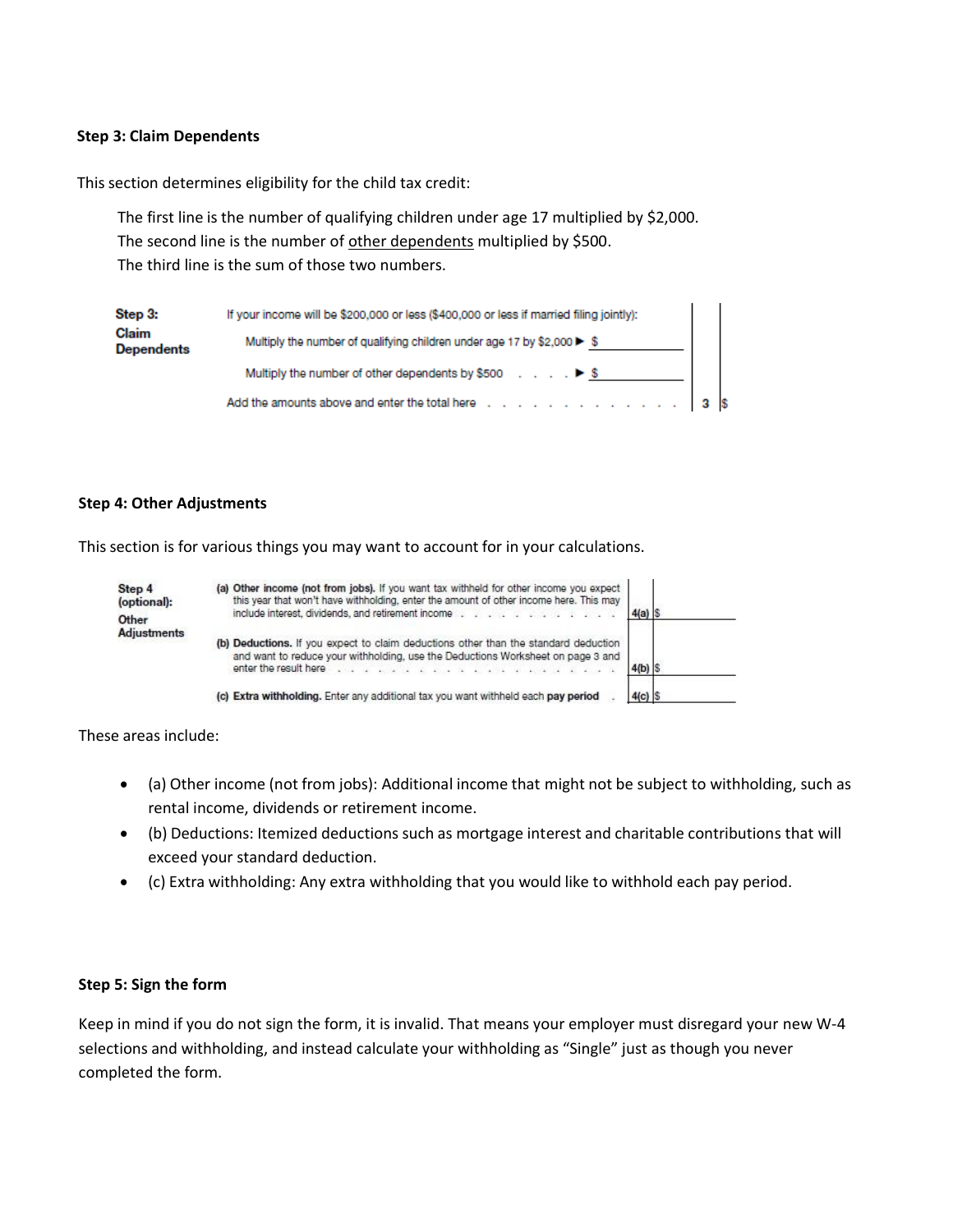### **Step 3: Claim Dependents**

This section determines eligibility for the child tax credit:

The first line is the number of qualifying children under age 17 multiplied by \$2,000. The second line is the number of other dependents multiplied by \$500. The third line is the sum of those two numbers.

| Step 3:                    | If your income will be \$200,000 or less (\$400,000 or less if married filing jointly):                                                                                             |  |
|----------------------------|-------------------------------------------------------------------------------------------------------------------------------------------------------------------------------------|--|
| Claim<br><b>Dependents</b> | Multiply the number of qualifying children under age 17 by \$2,000 ▶ \$                                                                                                             |  |
|                            | Multiply the number of other dependents by \$500 $\ldots$ . $\blacktriangleright$ \$                                                                                                |  |
|                            | Add the amounts above and enter the total here $\therefore$ $\therefore$ $\therefore$ $\therefore$ $\therefore$ $\therefore$ $\therefore$ $\therefore$ $\therefore$ 3 $\frac{1}{3}$ |  |

### **Step 4: Other Adjustments**

This section is for various things you may want to account for in your calculations.

| Step 4<br>(optional):<br>Other | (a) Other income (not from jobs). If you want tax withheld for other income you expect<br>this year that won't have withholding, enter the amount of other income here. This may<br>include interest, dividends, and retirement income                                                    | $4(a)$ \$ |  |
|--------------------------------|-------------------------------------------------------------------------------------------------------------------------------------------------------------------------------------------------------------------------------------------------------------------------------------------|-----------|--|
| <b>Adjustments</b>             | (b) Deductions. If you expect to claim deductions other than the standard deduction<br>and want to reduce your withholding, use the Deductions Worksheet on page 3 and<br>enter the result here is a sample of a sample of the result here is a sample of the result of the result of the |           |  |
|                                | (c) Extra withholding. Enter any additional tax you want withheld each pay period                                                                                                                                                                                                         |           |  |

These areas include:

- (a) Other income (not from jobs): Additional income that might not be subject to withholding, such as rental income, dividends or retirement income.
- (b) Deductions: Itemized deductions such as mortgage interest and charitable contributions that will exceed your standard deduction.
- (c) Extra withholding: Any extra withholding that you would like to withhold each pay period.

### **Step 5: Sign the form**

Keep in mind if you do not sign the form, it is invalid. That means your employer must disregard your new W-4 selections and withholding, and instead calculate your withholding as "Single" just as though you never completed the form.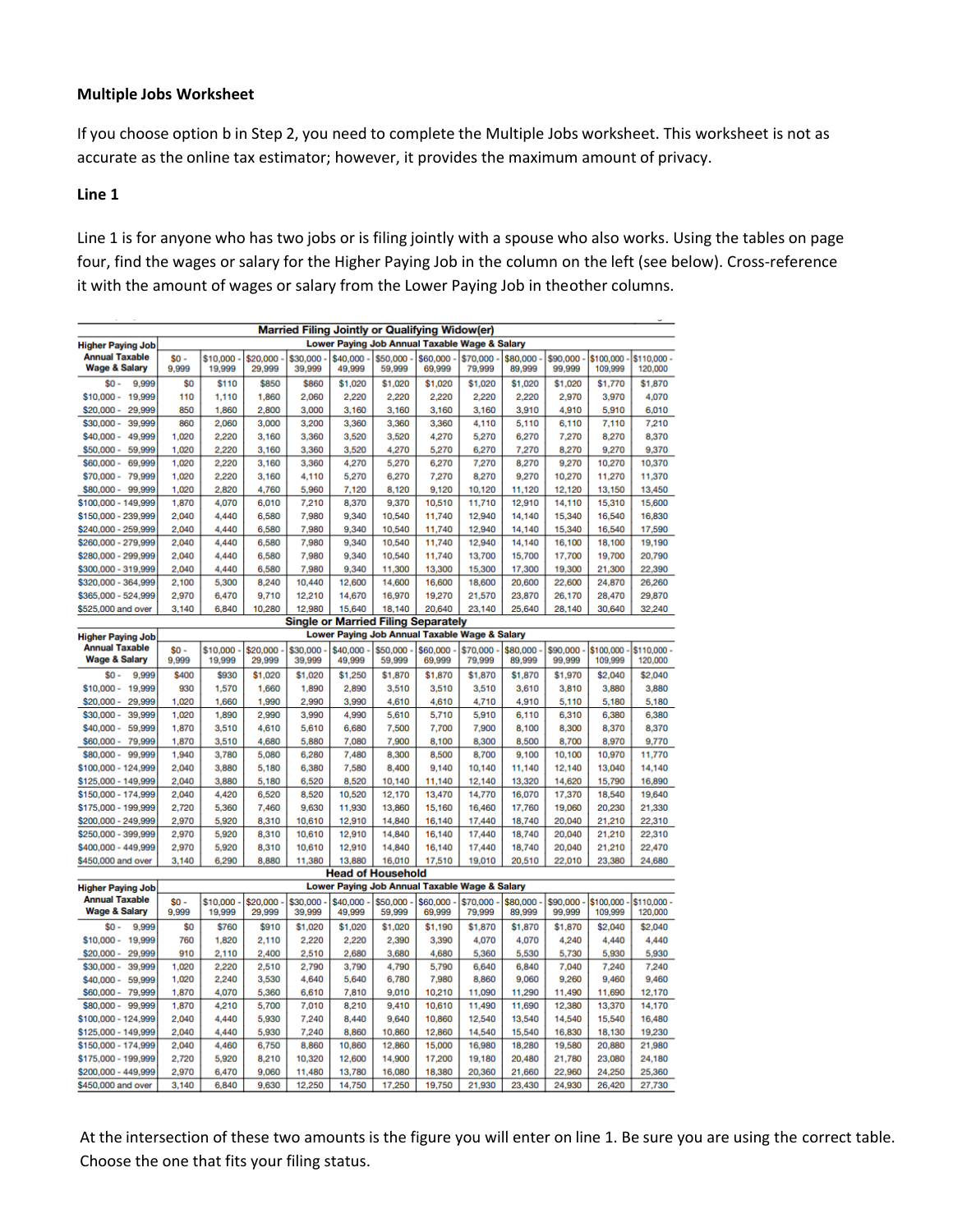# **Multiple Jobs Worksheet**

If you choose option b in Step 2, you need to complete the Multiple Jobs worksheet. This worksheet is not as accurate as the online tax estimator; however, it provides the maximum amount of privacy.

## **Line 1**

Line 1 is for anyone who has two jobs or is filing jointly with a spouse who also works. Using the tables on page four, find the wages or salary for the Higher Paying Job in the column on the left (see below). Cross-reference it with the amount of wages or salary from the Lower Paying Job in theother columns.

| <b>Married Filing Jointly or Qualifying Widow(er)</b> |                                                                                             |                    |                    |                    |                    |                                               |                    |                    |                    |                    |                      |                        |
|-------------------------------------------------------|---------------------------------------------------------------------------------------------|--------------------|--------------------|--------------------|--------------------|-----------------------------------------------|--------------------|--------------------|--------------------|--------------------|----------------------|------------------------|
| <b>Higher Paying Job</b>                              |                                                                                             |                    |                    |                    |                    | Lower Paying Job Annual Taxable Wage & Salary |                    |                    |                    |                    |                      |                        |
| <b>Annual Taxable</b><br><b>Wage &amp; Salary</b>     | $so-$<br>9,999                                                                              | \$10,000<br>19,999 | \$20,000<br>29,999 | \$30,000<br>39,999 | \$40,000<br>49,999 | $$50,000 -$<br>59,999                         | \$60,000<br>69,999 | \$70,000<br>79,999 | \$80,000<br>89,999 | \$90,000<br>99,999 | \$100,000<br>109,999 | \$110,000 -<br>120,000 |
| $$0 -$<br>9,999                                       | \$0                                                                                         | \$110              | \$850              | \$860              | \$1,020            | \$1,020                                       | \$1,020            | \$1,020            | \$1,020            | \$1,020            | \$1,770              | \$1,870                |
| $$10,000 -$<br>19,999                                 | 110                                                                                         | 1,110              | 1,860              | 2,060              | 2,220              | 2,220                                         | 2,220              | 2,220              | 2,220              | 2,970              | 3,970                | 4,070                  |
| $$20,000 -$<br>29,999                                 | 850                                                                                         | 1,860              | 2,800              | 3,000              | 3,160              | 3,160                                         | 3,160              | 3,160              | 3,910              | 4,910              | 5,910                | 6,010                  |
| $$30,000 -$<br>39,999                                 | 860                                                                                         | 2,060              | 3,000              | 3,200              | 3,360              | 3,360                                         | 3,360              | 4,110              | 5,110              | 6,110              | 7,110                | 7,210                  |
| $$40,000 -$<br>49,999                                 | 1,020                                                                                       | 2,220              | 3,160              | 3,360              | 3,520              | 3,520                                         | 4,270              | 5,270              | 6,270              | 7,270              | 8,270                | 8,370                  |
| 59,999<br>$$50,000 -$                                 | 1,020                                                                                       | 2,220              | 3,160              | 3,360              | 3,520              | 4,270                                         | 5,270              | 6,270              | 7.270              | 8,270              | 9,270                | 9,370                  |
| $$60.000 -$<br>69.999                                 | 1,020                                                                                       | 2,220              | 3,160              | 3,360              | 4,270              | 5,270                                         | 6,270              | 7,270              | 8.270              | 9,270              | 10,270               | 10,370                 |
| \$70,000 -<br>79,999                                  | 1,020                                                                                       | 2,220              | 3,160              | 4,110              | 5,270              | 6,270                                         | 7,270              | 8,270              | 9,270              | 10,270             | 11,270               | 11,370                 |
| $$80,000 -$<br>99,999                                 | 1,020                                                                                       | 2,820              | 4,760              | 5,960              | 7.120              | 8,120                                         | 9,120              | 10,120             | 11.120             | 12,120             | 13,150               | 13,450                 |
| \$100,000 - 149,999                                   | 1,870                                                                                       | 4.070              | 6.010              | 7,210              | 8.370              | 9.370                                         | 10,510             | 11,710             | 12,910             | 14,110             | 15,310               | 15,600                 |
| \$150,000 - 239,999                                   | 2,040                                                                                       | 4,440              | 6,580              | 7,980              | 9,340              | 10,540                                        | 11,740             | 12,940             | 14,140             | 15,340             | 16,540               | 16,830                 |
| \$240,000 - 259,999                                   | 2,040                                                                                       | 4,440              | 6,580              | 7,980              | 9,340              | 10,540                                        | 11,740             | 12,940             | 14,140             | 15,340             | 16,540               | 17,590                 |
| \$260,000 - 279,999                                   | 2,040                                                                                       | 4,440              | 6,580              | 7,980              | 9,340              | 10,540                                        | 11,740             | 12,940             | 14,140             | 16,100             | 18,100               | 19,190                 |
| \$280,000 - 299,999<br>\$300,000 - 319,999            | 2,040<br>2,040                                                                              | 4,440<br>4,440     | 6,580<br>6,580     | 7,980<br>7,980     | 9,340<br>9,340     | 10,540<br>11,300                              | 11,740<br>13,300   | 13,700<br>15,300   | 15,700<br>17,300   | 17,700<br>19,300   | 19,700<br>21,300     | 20,790<br>22,390       |
| \$320,000 - 364,999                                   | 2,100                                                                                       | 5,300              | 8,240              | 10,440             | 12,600             | 14,600                                        | 16,600             | 18,600             | 20,600             | 22,600             | 24,870               | 26,260                 |
| \$365,000 - 524,999                                   | 2,970                                                                                       | 6,470              | 9,710              | 12,210             | 14,670             | 16,970                                        | 19,270             | 21,570             | 23,870             | 26,170             | 28,470               | 29,870                 |
| \$525,000 and over                                    | 3,140                                                                                       | 6,840              | 10,280             | 12,980             | 15,640             | 18,140                                        | 20,640             | 23,140             | 25,640             | 28,140             | 30,640               | 32,240                 |
|                                                       |                                                                                             |                    |                    |                    |                    |                                               |                    |                    |                    |                    |                      |                        |
| <b>Higher Paying Job</b>                              | <b>Single or Married Filing Separately</b><br>Lower Paying Job Annual Taxable Wage & Salary |                    |                    |                    |                    |                                               |                    |                    |                    |                    |                      |                        |
| <b>Annual Taxable</b><br><b>Wage &amp; Salary</b>     | so.<br>9,999                                                                                | \$10,000<br>19,999 | \$20,000<br>29,999 | \$30,000<br>39,999 | \$40,000<br>49,999 | \$50,000<br>59,999                            | \$60,000<br>69,999 | \$70,000<br>79,999 | \$80,000<br>89,999 | \$90,000<br>99,999 | \$100,000<br>109,999 | \$110,000 -<br>120,000 |
| \$0<br>9,999                                          | \$400                                                                                       | \$930              | \$1,020            | \$1,020            | \$1,250            | \$1,870                                       | \$1,870            | \$1,870            | \$1,870            | \$1,970            | \$2,040              | \$2,040                |
| $$10,000 -$<br>19,999                                 | 930                                                                                         | 1,570              | 1,660              | 1,890              | 2,890              | 3,510                                         | 3,510              | 3,510              | 3,610              | 3,810              | 3,880                | 3,880                  |
| $$20,000 -$<br>29,999                                 | 1,020                                                                                       | 1,660              | 1,990              | 2,990              | 3,990              | 4,610                                         | 4,610              | 4,710              | 4,910              | 5,110              | 5,180                | 5,180                  |
| 39,999<br>$$30,000 -$                                 | 1,020                                                                                       | 1,890              | 2,990              | 3,990              | 4,990              | 5,610                                         | 5,710              | 5,910              | 6.110              | 6,310              | 6,380                | 6,380                  |
| $$40,000 -$<br>59,999                                 | 1,870                                                                                       | 3,510              | 4,610              | 5,610              | 6,680              | 7,500                                         | 7,700              | 7,900              | 8,100              | 8,300              | 8,370                | 8,370                  |
| $$60,000 -$<br>79,999                                 | 1,870                                                                                       | 3,510              | 4,680              | 5,880              | 7,080              | 7,900                                         | 8,100              | 8,300              | 8,500              | 8,700              | 8,970                | 9,770                  |
| $$80,000 -$<br>99,999                                 | 1,940                                                                                       | 3,780              | 5,080              | 6,280              | 7,480              | 8,300                                         | 8,500              | 8,700              | 9,100              | 10,100             | 10,970               | 11,770                 |
| \$100,000 - 124,999                                   | 2,040                                                                                       | 3,880              | 5,180              | 6,380              | 7,580              | 8,400                                         | 9,140              | 10,140             | 11,140             | 12,140             | 13,040               | 14,140                 |
| \$125,000 - 149,999                                   | 2,040                                                                                       | 3,880              | 5,180              | 6,520              | 8,520              | 10,140                                        | 11,140             | 12,140             | 13,320             | 14,620             | 15,790               | 16,890                 |
| \$150,000 - 174,999                                   | 2,040                                                                                       | 4,420              | 6,520              | 8,520              | 10,520             | 12,170                                        | 13,470             | 14,770             | 16,070             | 17,370             | 18,540               | 19,640                 |
| \$175,000 - 199,999                                   | 2,720                                                                                       | 5,360              | 7,460              | 9,630              | 11,930             | 13,860                                        | 15,160             | 16,460             | 17,760             | 19,060             | 20,230               | 21,330                 |
| \$200,000 - 249,999                                   | 2,970<br>2,970                                                                              | 5,920              | 8,310              | 10,610<br>10,610   | 12,910<br>12,910   | 14,840                                        | 16,140             | 17,440             | 18,740<br>18.740   | 20,040             | 21,210<br>21,210     | 22,310                 |
| \$250,000 - 399,999<br>\$400,000 - 449,999            | 2,970                                                                                       | 5,920<br>5,920     | 8,310<br>8,310     | 10,610             | 12,910             | 14,840<br>14,840                              | 16,140<br>16,140   | 17,440<br>17,440   | 18,740             | 20,040<br>20,040   | 21,210               | 22,310<br>22,470       |
| \$450,000 and over                                    | 3,140                                                                                       | 6,290              | 8,880              | 11,380             | 13,880             | 16,010                                        | 17,510             | 19,010             | 20,510             | 22,010             | 23,380               | 24,680                 |
|                                                       |                                                                                             |                    |                    |                    |                    | <b>Head of Household</b>                      |                    |                    |                    |                    |                      |                        |
| <b>Higher Paying Job</b>                              |                                                                                             |                    |                    |                    |                    | Lower Paying Job Annual Taxable Wage & Salary |                    |                    |                    |                    |                      |                        |
| <b>Annual Taxable</b>                                 | $$0 -$                                                                                      | \$10,000           | \$20,000           | \$30,000           | \$40,000           | \$50,000                                      | \$60,000           | \$70,000           | \$80,000           | \$90,000           | \$100,000            | \$110,000 -            |
| <b>Wage &amp; Salary</b>                              | 9,999                                                                                       | 19,999             | 29,999             | 39,999             | 49,999             | 59,999                                        | 69,999             | 79,999             | 89,999             | 99,999             | 109,999              | 120,000                |
| 9.999<br>$$0 -$                                       | \$0                                                                                         | \$760              | \$910              | \$1,020            | \$1,020            | \$1,020                                       | \$1,190            | \$1,870            | \$1,870            | \$1,870            | \$2,040              | \$2,040                |
| $$10,000 -$<br>19,999                                 | 760                                                                                         | 1,820              | 2,110              | 2,220              | 2,220              | 2,390                                         | 3,390              | 4,070              | 4,070              | 4,240              | 4,440                | 4,440                  |
| $$20,000 -$<br>29,999                                 | 910                                                                                         | 2,110              | 2,400              | 2,510              | 2,680              | 3,680                                         | 4,680              | 5,360              | 5,530              | 5,730              | 5,930                | 5,930                  |
| $$30,000 -$<br>39,999                                 | 1,020                                                                                       | 2,220              | 2,510              | 2,790              | 3,790              | 4,790                                         | 5,790              | 6,640              | 6,840              | 7,040              | 7,240                | 7,240                  |
| 59,999<br>$$40,000 -$                                 | 1,020                                                                                       | 2,240              | 3,530              | 4,640              | 5,640              | 6,780                                         | 7,980              | 8,860              | 9,060              | 9.260              | 9,460                | 9,460                  |
| $$60,000 -$<br>79,999                                 | 1,870                                                                                       | 4,070              | 5,360              | 6,610              | 7,810              | 9,010                                         | 10,210             | 11,090             | 11,290             | 11,490             | 11,690               | 12,170                 |
| 99,999<br>$$80,000 -$                                 | 1,870                                                                                       | 4,210              | 5,700              | 7,010              | 8,210              | 9,410                                         | 10,610             | 11,490             | 11,690             | 12,380             | 13,370               | 14,170                 |
| \$100,000 - 124,999                                   | 2,040                                                                                       | 4,440              | 5,930              | 7,240              | 8,440              | 9,640                                         | 10,860             | 12,540             | 13,540             | 14,540             | 15,540               | 16,480                 |
| \$125,000 - 149,999                                   | 2,040<br>2,040                                                                              | 4,440              | 5,930              | 7,240<br>8,860     | 8,860              | 10,860                                        | 12,860             | 14,540             | 15,540             | 16,830<br>19,580   | 18,130               | 19,230                 |
| \$150,000 - 174,999<br>\$175,000 - 199,999            | 2,720                                                                                       | 4,460<br>5,920     | 6,750<br>8,210     | 10,320             | 10,860<br>12,600   | 12,860<br>14,900                              | 15,000<br>17,200   | 16,980<br>19,180   | 18,280<br>20,480   | 21,780             | 20,880<br>23,080     | 21,980<br>24,180       |
| \$200,000 - 449,999                                   | 2,970                                                                                       | 6,470              | 9,060              | 11,480             | 13,780             | 16,080                                        | 18,380             | 20,360             | 21,660             | 22,960             | 24,250               | 25,360                 |
| \$450,000 and over                                    | 3,140                                                                                       | 6,840              | 9,630              | 12,250             | 14,750             | 17,250                                        | 19,750             | 21,930             | 23,430             | 24,930             | 26,420               | 27,730                 |
|                                                       |                                                                                             |                    |                    |                    |                    |                                               |                    |                    |                    |                    |                      |                        |

At the intersection of these two amounts is the figure you will enter on line 1. Be sure you are using the correct table. Choose the one that fits your filing status.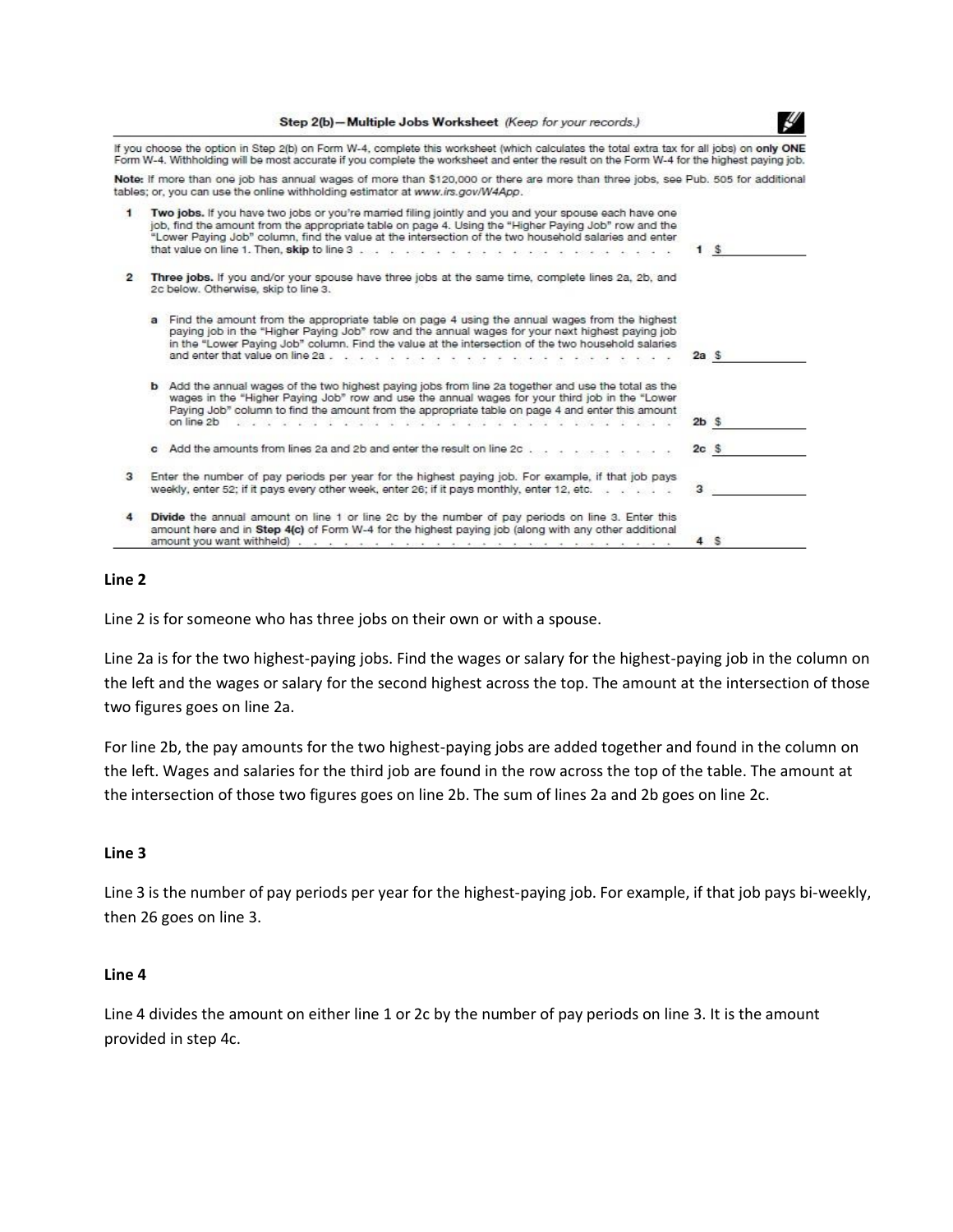|  |  | Step 2(b)-Multiple Jobs Worksheet (Keep for your records.) |  |  |  |
|--|--|------------------------------------------------------------|--|--|--|
|  |  |                                                            |  |  |  |

μ

If you choose the option in Step 2(b) on Form W-4, complete this worksheet (which calculates the total extra tax for all jobs) on only ONE Form W-4. Withholding will be most accurate if you complete the worksheet and enter the result on the Form W-4 for the highest paying job.

Note: If more than one job has annual wages of more than \$120,000 or there are more than three jobs, see Pub. 505 for additional tables; or, you can use the online withholding estimator at www.irs.gov/W4App.

|                | Two jobs. If you have two jobs or you're married filing jointly and you and your spouse each have one<br>job, find the amount from the appropriate table on page 4. Using the "Higher Paying Job" row and the<br>"Lower Paying Job" column, find the value at the intersection of the two household salaries and enter<br>that value on line 1. Then, skip to line 3 and a construction of the construction of the construction of                                  |                 | - \$ |
|----------------|---------------------------------------------------------------------------------------------------------------------------------------------------------------------------------------------------------------------------------------------------------------------------------------------------------------------------------------------------------------------------------------------------------------------------------------------------------------------|-----------------|------|
| $\overline{2}$ | Three jobs. If you and/or your spouse have three jobs at the same time, complete lines 2a, 2b, and<br>2c below. Otherwise, skip to line 3.                                                                                                                                                                                                                                                                                                                          |                 |      |
|                | Find the amount from the appropriate table on page 4 using the annual wages from the highest<br>paying job in the "Higher Paying Job" row and the annual wages for your next highest paying job<br>in the "Lower Paying Job" column. Find the value at the intersection of the two household salaries<br>and enter that value on line 2a<br>$\mathcal{R} = \mathcal{R} \cup \mathcal{R} = \mathcal{R} \cup \mathcal{R} \cup \mathcal{R} \cup \mathcal{R}$<br>$\sim$ | 2a <sub>s</sub> |      |
|                | <b>b</b> Add the annual wages of the two highest paying jobs from line 2a together and use the total as the<br>wages in the "Higher Paying Job" row and use the annual wages for your third job in the "Lower<br>Paying Job" column to find the amount from the appropriate table on page 4 and enter this amount                                                                                                                                                   | 2b <sub>s</sub> |      |
|                | Add the amounts from lines 2a and 2b and enter the result on line 2c.                                                                                                                                                                                                                                                                                                                                                                                               | 2cS             |      |
| з              | Enter the number of pay periods per year for the highest paying job. For example, if that job pays<br>weekly, enter 52; if it pays every other week, enter 26; if it pays monthly, enter 12, etc.                                                                                                                                                                                                                                                                   |                 |      |
|                | Divide the annual amount on line 1 or line 2c by the number of pay periods on line 3. Enter this<br>amount here and in Step 4(c) of Form W-4 for the highest paying job (along with any other additional<br>amount you want withheld) we are as a series of the series of the series of the series of the series                                                                                                                                                    | 4S              |      |

#### **Line 2**

Line 2 is for someone who has three jobs on their own or with a spouse.

Line 2a is for the two highest-paying jobs. Find the wages or salary for the highest-paying job in the column on the left and the wages or salary for the second highest across the top. The amount at the intersection of those two figures goes on line 2a.

For line 2b, the pay amounts for the two highest-paying jobs are added together and found in the column on the left. Wages and salaries for the third job are found in the row across the top of the table. The amount at the intersection of those two figures goes on line 2b. The sum of lines 2a and 2b goes on line 2c.

#### **Line 3**

Line 3 is the number of pay periods per year for the highest-paying job. For example, if that job pays bi-weekly, then 26 goes on line 3.

#### **Line 4**

Line 4 divides the amount on either line 1 or 2c by the number of pay periods on line 3. It is the amount provided in step 4c.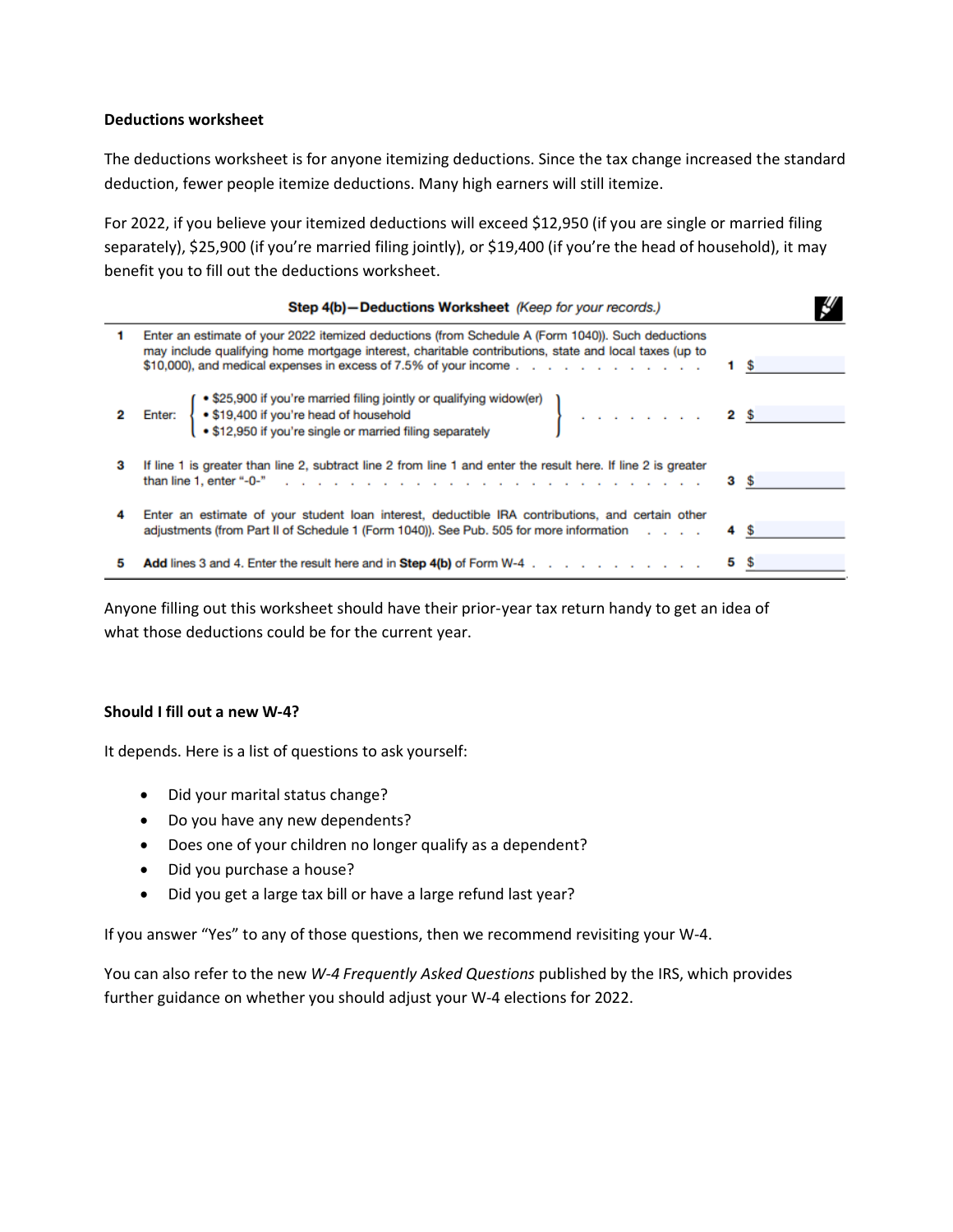# **Deductions worksheet**

The deductions worksheet is for anyone itemizing deductions. Since the tax change increased the standard deduction, fewer people itemize deductions. Many high earners will still itemize.

For 2022, if you believe your itemized deductions will exceed \$12,950 (if you are single or married filing separately), \$25,900 (if you're married filing jointly), or \$19,400 (if you're the head of household), it may benefit you to fill out the deductions worksheet.

|    | Step 4(b) - Deductions Worksheet (Keep for your records.)                                                                                                                                                                                                                                                                                 |  |
|----|-------------------------------------------------------------------------------------------------------------------------------------------------------------------------------------------------------------------------------------------------------------------------------------------------------------------------------------------|--|
| 1. | Enter an estimate of your 2022 itemized deductions (from Schedule A (Form 1040)). Such deductions<br>may include qualifying home mortgage interest, charitable contributions, state and local taxes (up to<br>\$10,000), and medical expenses in excess of 7.5% of your income $\ldots$ $\ldots$ $\ldots$ $\ldots$ $\ldots$ $\ldots$ 1 \$ |  |
|    | 2 Enter: $\left\{\begin{array}{l}\n\bullet \text{$$325,900 if you're married filing jointly or qualifying window (er)\n\bullet $19,400 if you're head of household\n\bullet $12,950 if you're single or married filing separately\n\end{array}\right\}$                                                                                   |  |
| з  | If line 1 is greater than line 2, subtract line 2 from line 1 and enter the result here. If line 2 is greater<br>than line 1, enter "-0-" $\ldots$ $\ldots$ $\ldots$ $\ldots$ $\ldots$ $\ldots$ $\ldots$ $\ldots$ $\ldots$ $\ldots$ $\ldots$ $\ldots$ $\ldots$                                                                            |  |
| 4  | Enter an estimate of your student loan interest, deductible IRA contributions, and certain other<br>adjustments (from Part II of Schedule 1 (Form 1040)). See Pub. 505 for more information                                                                                                                                               |  |
| 5  | Add lines 3 and 4. Enter the result here and in Step 4(b) of Form W-4 $\dots$ , $\dots$ , $\dots$ , $\dots$                                                                                                                                                                                                                               |  |

Anyone filling out this worksheet should have their prior-year tax return handy to get an idea of what those deductions could be for the current year.

# **Should I fill out a new W-4?**

It depends. Here is a list of questions to ask yourself:

- Did your marital status change?
- Do you have any new dependents?
- Does one of your children no longer qualify as a dependent?
- Did you purchase a house?
- Did you get a large tax bill or have a large refund last year?

If you answer "Yes" to any of those questions, then we recommend revisiting your W-4.

You can also refer to the new *W-4 Frequently Asked Questions* published by the IRS, which provides further guidance on whether you should adjust your W-4 elections for 2022.